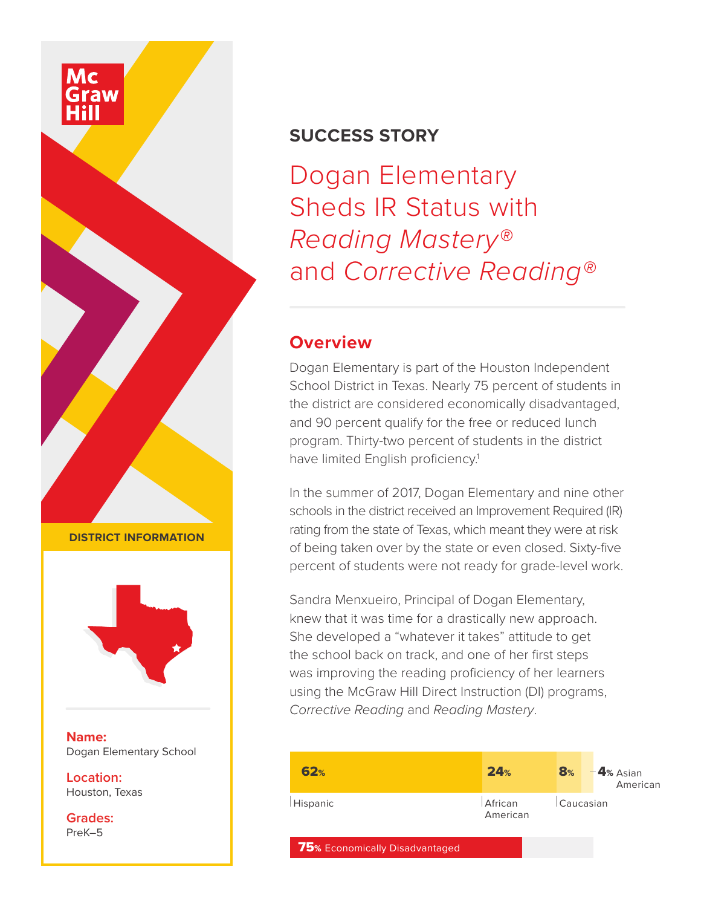## **SUCCESS STORY**

Dogan Elementary Sheds IR Status with *Reading Mastery®*  and *Corrective Reading®*

## **Overview**

Dogan Elementary is part of the Houston Independent School District in Texas. Nearly 75 percent of students in the district are considered economically disadvantaged, and 90 percent qualify for the free or reduced lunch program. Thirty-two percent of students in the district have limited English proficiency.<sup>1</sup>

In the summer of 2017, Dogan Elementary and nine other schools in the district received an Improvement Required (IR) rating from the state of Texas, which meant they were at risk of being taken over by the state or even closed. Sixty-five percent of students were not ready for grade-level work.

Sandra Menxueiro, Principal of Dogan Elementary, knew that it was time for a drastically new approach. She developed a "whatever it takes" attitude to get the school back on track, and one of her first steps was improving the reading proficiency of her learners using the McGraw Hill Direct Instruction (DI) programs, *Corrective Reading* and *Reading Mastery*.

| 62%                            | 24%                 | $\mathbf{8}_{\%}$ | $-4$ % Asian<br>American |
|--------------------------------|---------------------|-------------------|--------------------------|
| Hispanic                       | African<br>American | Caucasian         |                          |
| 75% Economically Disadvantaged |                     |                   |                          |

**DISTRICT INFORMATION**



**Name:** Dogan Elementary School

**Location:** Houston, Texas

**Grades:** PreK–5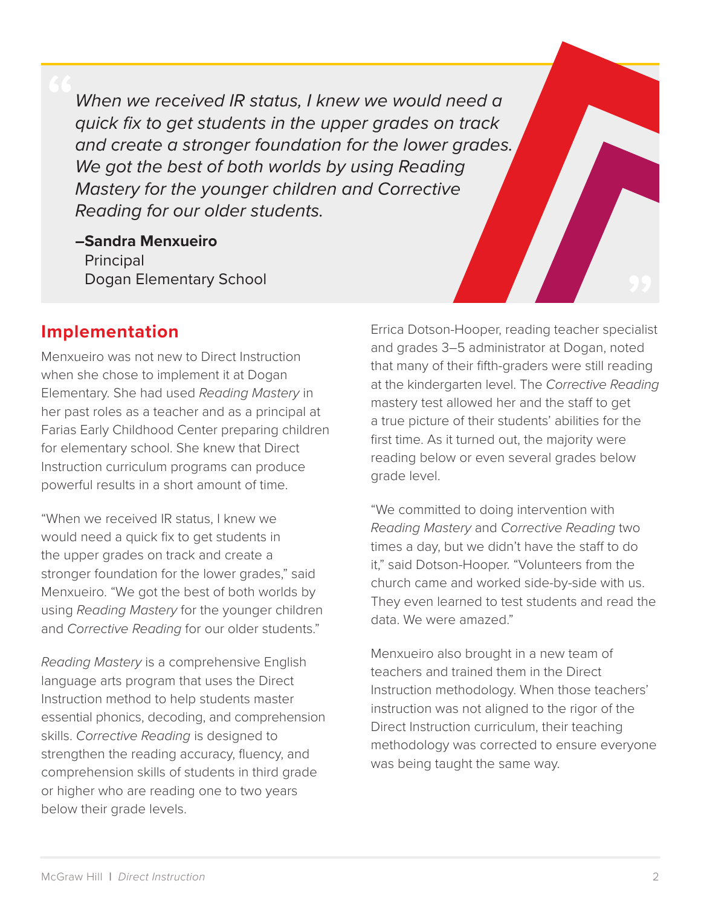*When we received IR status, I knew we would need a quick fix to get students in the upper grades on track and create a stronger foundation for the lower grades. We got the best of both worlds by using Reading Mastery for the younger children and Corrective Reading for our older students.*

**–Sandra Menxueiro Principal** Dogan Elementary School

#### **Implementation**

Menxueiro was not new to Direct Instruction when she chose to implement it at Dogan Elementary. She had used *Reading Mastery* in her past roles as a teacher and as a principal at Farias Early Childhood Center preparing children for elementary school. She knew that Direct Instruction curriculum programs can produce powerful results in a short amount of time.

"When we received IR status, I knew we would need a quick fix to get students in the upper grades on track and create a stronger foundation for the lower grades," said Menxueiro. "We got the best of both worlds by using *Reading Mastery* for the younger children and *Corrective Reading* for our older students."

*Reading Mastery* is a comprehensive English language arts program that uses the Direct Instruction method to help students master essential phonics, decoding, and comprehension skills. *Corrective Reading* is designed to strengthen the reading accuracy, fluency, and comprehension skills of students in third grade or higher who are reading one to two years below their grade levels.

Errica Dotson-Hooper, reading teacher specialist and grades 3–5 administrator at Dogan, noted that many of their fifth-graders were still reading at the kindergarten level. The *Corrective Reading*  mastery test allowed her and the staff to get a true picture of their students' abilities for the first time. As it turned out, the majority were reading below or even several grades below grade level.

"We committed to doing intervention with *Reading Mastery* and *Corrective Reading* two times a day, but we didn't have the staff to do it," said Dotson-Hooper. "Volunteers from the church came and worked side-by-side with us. They even learned to test students and read the data. We were amazed."

Menxueiro also brought in a new team of teachers and trained them in the Direct Instruction methodology. When those teachers' instruction was not aligned to the rigor of the Direct Instruction curriculum, their teaching methodology was corrected to ensure everyone was being taught the same way.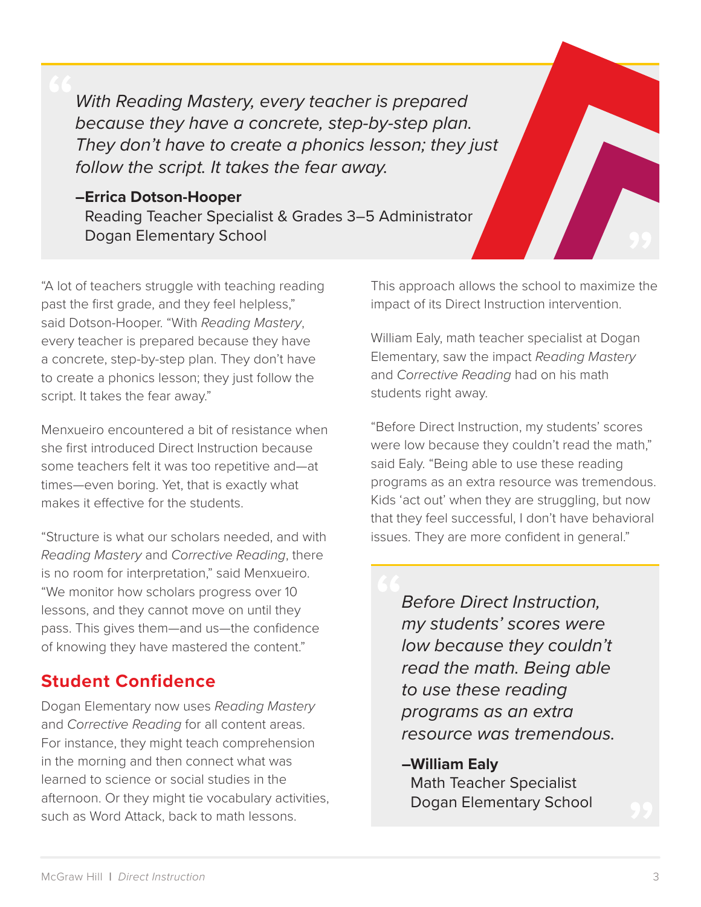*With Reading Mastery, every teacher is prepared because they have a concrete, step-by-step plan. They don't have to create a phonics lesson; they just follow the script. It takes the fear away.*

# **–Errica Dotson-Hooper**

Reading Teacher Specialist & Grades 3–5 Administrator Dogan Elementary School

"A lot of teachers struggle with teaching reading past the first grade, and they feel helpless," said Dotson-Hooper. "With *Reading Mastery*, every teacher is prepared because they have a concrete, step-by-step plan. They don't have to create a phonics lesson; they just follow the script. It takes the fear away."

Menxueiro encountered a bit of resistance when she first introduced Direct Instruction because some teachers felt it was too repetitive and—at times—even boring. Yet, that is exactly what makes it effective for the students.

"Structure is what our scholars needed, and with *Reading Mastery* and *Corrective Reading*, there is no room for interpretation," said Menxueiro. "We monitor how scholars progress over 10 lessons, and they cannot move on until they pass. This gives them—and us—the confidence of knowing they have mastered the content."

## **Student Confidence**

Dogan Elementary now uses *Reading Mastery* and *Corrective Reading* for all content areas. For instance, they might teach comprehension in the morning and then connect what was learned to science or social studies in the afternoon. Or they might tie vocabulary activities, such as Word Attack, back to math lessons.

This approach allows the school to maximize the impact of its Direct Instruction intervention.

William Ealy, math teacher specialist at Dogan Elementary, saw the impact *Reading Mastery* and *Corrective Reading* had on his math students right away.

"Before Direct Instruction, my students' scores were low because they couldn't read the math," said Ealy. "Being able to use these reading programs as an extra resource was tremendous. Kids 'act out' when they are struggling, but now that they feel successful, I don't have behavioral issues. They are more confident in general."

*Before Direct Instruction, my students' scores were low because they couldn't read the math. Being able to use these reading programs as an extra resource was tremendous.*

#### **–William Ealy**

Math Teacher Specialist Dogan Elementary School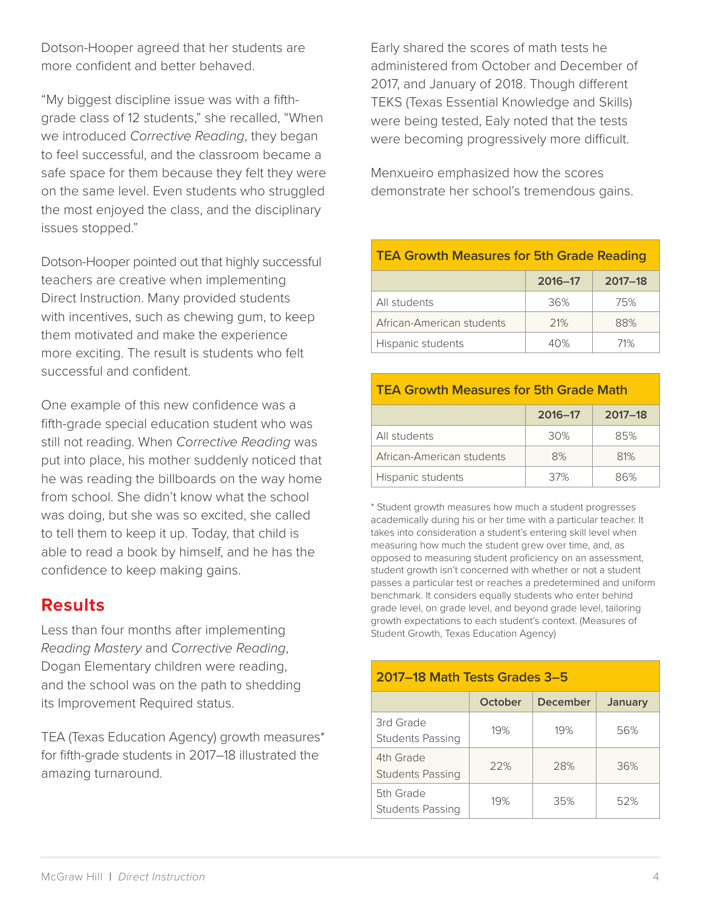Dotson-Hooper agreed that her students are more confident and better behaved.

"My biggest discipline issue was with a fifthgrade class of 12 students," she recalled, "When we introduced *Corrective Reading*, they began to feel successful, and the classroom became a safe space for them because they felt they were on the same level. Even students who struggled the most enjoyed the class, and the disciplinary issues stopped."

Dotson-Hooper pointed out that highly successful teachers are creative when implementing Direct Instruction. Many provided students with incentives, such as chewing gum, to keep them motivated and make the experience more exciting. The result is students who felt successful and confident.

One example of this new confidence was a fifth-grade special education student who was still not reading. When *Corrective Reading* was put into place, his mother suddenly noticed that he was reading the billboards on the way home from school. She didn't know what the school was doing, but she was so excited, she called to tell them to keep it up. Today, that child is able to read a book by himself, and he has the confidence to keep making gains.

#### **Results**

Less than four months after implementing *Reading Mastery* and *Corrective Reading*, Dogan Elementary children were reading, and the school was on the path to shedding its Improvement Required status.

TEA (Texas Education Agency) growth measures\* for fifth-grade students in 2017–18 illustrated the amazing turnaround.

Early shared the scores of math tests he administered from October and December of 2017, and January of 2018. Though different TEKS (Texas Essential Knowledge and Skills) were being tested, Ealy noted that the tests were becoming progressively more difficult.

Menxueiro emphasized how the scores demonstrate her school's tremendous gains.

## **TEA Growth Measures for 5th Grade Reading 2016–17 2017–18** All students 36% 75%

#### **TEA Growth Measures for 5th Grade Math**

African-American students | 21% | 88% Hispanic students  $\vert$  40%  $\vert$  71%

|                           | 2016-17 | $2017 - 18$ |
|---------------------------|---------|-------------|
| All students              | 30%     | 85%         |
| African-American students | 8%      | 81%         |
| Hispanic students         | 37%     | 86%         |

\* Student growth measures how much a student progresses academically during his or her time with a particular teacher. It takes into consideration a student's entering skill level when measuring how much the student grew over time, and, as opposed to measuring student proficiency on an assessment, student growth isn't concerned with whether or not a student passes a particular test or reaches a predetermined and uniform benchmark. It considers equally students who enter behind grade level, on grade level, and beyond grade level, tailoring growth expectations to each student's context. (Measures of Student Growth, Texas Education Agency)

| 2017–18 Math Tests Grades 3–5        |         |          |         |  |  |
|--------------------------------------|---------|----------|---------|--|--|
|                                      | October | December | January |  |  |
| 3rd Grade<br><b>Students Passing</b> | 19%     | 19%      | 56%     |  |  |
| 4th Grade<br><b>Students Passing</b> | 22%     | 28%      | 36%     |  |  |
| 5th Grade<br>Students Passing        | 19%     | 35%      | 52%     |  |  |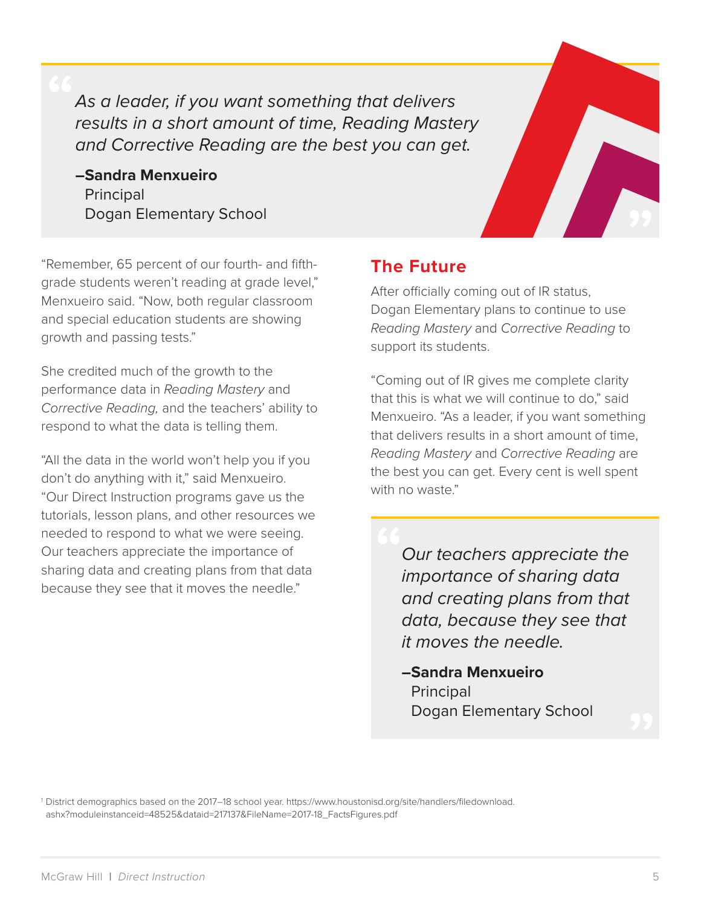*As a leader, if you want something that delivers results in a short amount of time, Reading Mastery and Corrective Reading are the best you can get.*

**–Sandra Menxueiro** Principal Dogan Elementary School



"Remember, 65 percent of our fourth- and fifthgrade students weren't reading at grade level," Menxueiro said. "Now, both regular classroom and special education students are showing growth and passing tests."

She credited much of the growth to the performance data in *Reading Mastery* and *Corrective Reading,* and the teachers' ability to respond to what the data is telling them.

"All the data in the world won't help you if you don't do anything with it," said Menxueiro. "Our Direct Instruction programs gave us the tutorials, lesson plans, and other resources we needed to respond to what we were seeing. Our teachers appreciate the importance of sharing data and creating plans from that data because they see that it moves the needle."

## **The Future**

After officially coming out of IR status, Dogan Elementary plans to continue to use *Reading Mastery* and *Corrective Reading* to support its students.

"Coming out of IR gives me complete clarity that this is what we will continue to do," said Menxueiro. "As a leader, if you want something that delivers results in a short amount of time, *Reading Mastery* and *Corrective Reading* are the best you can get. Every cent is well spent with no waste."

> *Our teachers appreciate the importance of sharing data and creating plans from that data, because they see that it moves the needle.*

**–Sandra Menxueiro Principal** Dogan Elementary School

1 District demographics based on the 2017–18 school year. https://www.houstonisd.org/site/handlers/filedownload. ashx?moduleinstanceid=48525&dataid=217137&FileName=2017-18\_FactsFigures.pdf